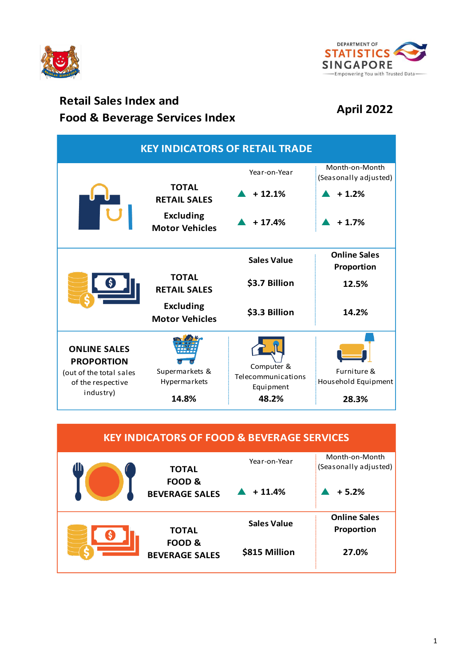



# **Retail Sales Index and Food & Beverage Services Index**<br>**Food & Beverage Services Index April 2022**

| <b>KEY INDICATORS OF RETAIL TRADE</b>                                                                 |                                           |                                                        |                                                    |  |  |
|-------------------------------------------------------------------------------------------------------|-------------------------------------------|--------------------------------------------------------|----------------------------------------------------|--|--|
|                                                                                                       | <b>TOTAL</b><br><b>RETAIL SALES</b>       | Year-on-Year<br>$+12.1%$                               | Month-on-Month<br>(Seasonally adjusted)<br>$+1.2%$ |  |  |
|                                                                                                       | <b>Excluding</b><br><b>Motor Vehicles</b> | $+17.4%$                                               | $+1.7%$                                            |  |  |
|                                                                                                       |                                           | <b>Sales Value</b>                                     | <b>Online Sales</b><br>Proportion                  |  |  |
|                                                                                                       | <b>TOTAL</b><br><b>RETAIL SALES</b>       | \$3.7 Billion                                          | 12.5%                                              |  |  |
|                                                                                                       | <b>Excluding</b><br><b>Motor Vehicles</b> | \$3.3 Billion                                          | 14.2%                                              |  |  |
| <b>ONLINE SALES</b><br><b>PROPORTION</b><br>(out of the total sales<br>of the respective<br>industry) | Supermarkets &<br>Hypermarkets<br>14.8%   | Computer &<br>Telecommunications<br>Equipment<br>48.2% | Furniture &<br>Household Equipment<br>28.3%        |  |  |

| <b>KEY INDICATORS OF FOOD &amp; BEVERAGE SERVICES</b> |                                                            |                    |                                         |  |  |
|-------------------------------------------------------|------------------------------------------------------------|--------------------|-----------------------------------------|--|--|
| 111                                                   | <b>TOTAL</b><br><b>FOOD &amp;</b><br><b>BEVERAGE SALES</b> | Year-on-Year       | Month-on-Month<br>(Seasonally adjusted) |  |  |
|                                                       |                                                            | $+11.4%$           | $+5.2%$                                 |  |  |
| s                                                     | <b>TOTAL</b><br><b>FOOD &amp;</b><br><b>BEVERAGE SALES</b> | <b>Sales Value</b> | <b>Online Sales</b>                     |  |  |
|                                                       |                                                            | \$815 Million      | Proportion<br>27.0%                     |  |  |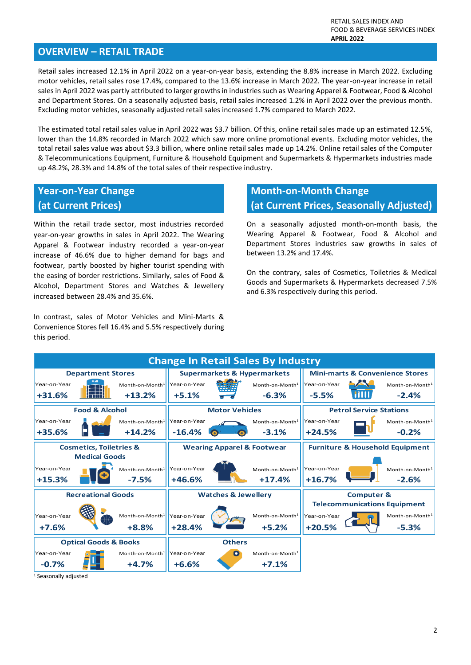### **OVERVIEW – RETAIL TRADE**

Retail sales increased 12.1% in April 2022 on a year-on-year basis, extending the 8.8% increase in March 2022. Excluding motor vehicles, retail sales rose 17.4%, compared to the 13.6% increase in March 2022. The year-on-year increase in retail sales in April 2022 was partly attributed to larger growths in industries such as Wearing Apparel & Footwear, Food & Alcohol and Department Stores. On a seasonally adjusted basis, retail sales increased 1.2% in April 2022 over the previous month. Excluding motor vehicles, seasonally adjusted retail sales increased 1.7% compared to March 2022.

The estimated total retail sales value in April 2022 was \$3.7 billion. Of this, online retail sales made up an estimated 12.5%, lower than the 14.8% recorded in March 2022 which saw more online promotional events. Excluding motor vehicles, the total retail sales value was about \$3.3 billion, where online retail sales made up 14.2%. Online retail sales of the Computer & Telecommunications Equipment, Furniture & Household Equipment and Supermarkets & Hypermarkets industries made up 48.2%, 28.3% and 14.8% of the total sales of their respective industry.

### **Year-on-Year Change (at Current Prices)**

Within the retail trade sector, most industries recorded year-on-year growths in sales in April 2022. The Wearing Apparel & Footwear industry recorded a year-on-year increase of 46.6% due to higher demand for bags and footwear, partly boosted by higher tourist spending with the easing of border restrictions. Similarly, sales of Food & Alcohol, Department Stores and Watches & Jewellery increased between 28.4% and 35.6%.

In contrast, sales of Motor Vehicles and Mini-Marts & Convenience Stores fell 16.4% and 5.5% respectively during this period.

# **Month-on-Month Change (at Current Prices, Seasonally Adjusted)**

On a seasonally adjusted month-on-month basis, the Wearing Apparel & Footwear, Food & Alcohol and Department Stores industries saw growths in sales of between 13.2% and 17.4%.

On the contrary, sales of Cosmetics, Toiletries & Medical Goods and Supermarkets & Hypermarkets decreased 7.5% and 6.3% respectively during this period.



<sup>1</sup> Seasonally adjusted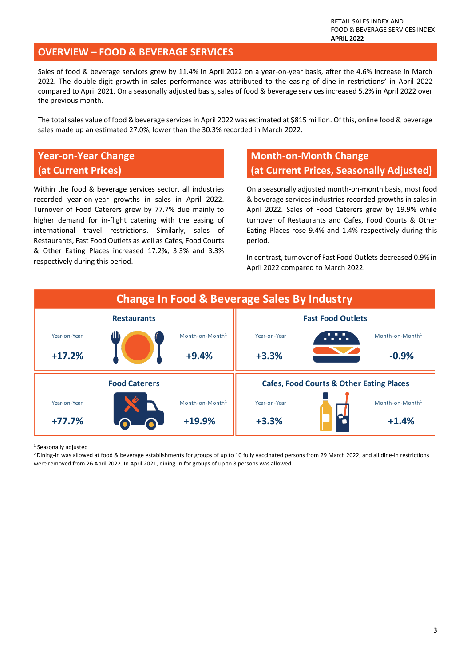### **OVERVIEW – FOOD & BEVERAGE SERVICES**

Sales of food & beverage services grew by 11.4% in April 2022 on a year-on-year basis, after the 4.6% increase in March 2022. The double-digit growth in sales performance was attributed to the easing of dine-in restrictions<sup>2</sup> in April 2022 compared to April 2021. On a seasonally adjusted basis, sales of food & beverage services increased 5.2% in April 2022 over the previous month.

The total sales value of food & beverage services in April 2022 was estimated at \$815 million. Of this, online food & beverage sales made up an estimated 27.0%, lower than the 30.3% recorded in March 2022.

### **Year-on-Year Change (at Current Prices)**

Within the food & beverage services sector, all industries recorded year-on-year growths in sales in April 2022. Turnover of Food Caterers grew by 77.7% due mainly to higher demand for in-flight catering with the easing of international travel restrictions. Similarly, sales of Restaurants, Fast Food Outlets as well as Cafes, Food Courts & Other Eating Places increased 17.2%, 3.3% and 3.3% respectively during this period.

# **Month-on-Month Change (at Current Prices, Seasonally Adjusted)**

On a seasonally adjusted month-on-month basis, most food & beverage services industries recorded growths in sales in April 2022. Sales of Food Caterers grew by 19.9% while turnover of Restaurants and Cafes, Food Courts & Other Eating Places rose 9.4% and 1.4% respectively during this period.

In contrast, turnover of Fast Food Outlets decreased 0.9% in April 2022 compared to March 2022.



<sup>1</sup> Seasonally adjusted

<sup>2</sup> Dining-in was allowed at food & beverage establishments for groups of up to 10 fully vaccinated persons from 29 March 2022, and all dine-in restrictions were removed from 26 April 2022. In April 2021, dining-in for groups of up to 8 persons was allowed.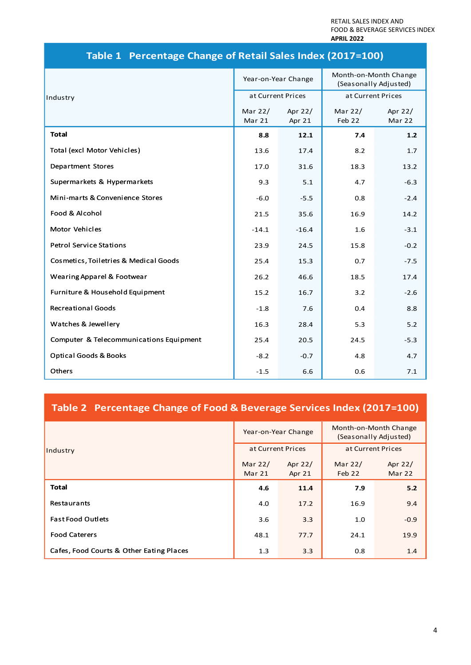RETAIL SALES INDEX AND FOOD & BEVERAGE SERVICES INDEX **APRIL 2022**

|                                         | Year-on-Year Change |                   | Month-on-Month Change<br>(Seasonally Adjusted) |                   |
|-----------------------------------------|---------------------|-------------------|------------------------------------------------|-------------------|
| Industry                                | at Current Prices   |                   | at Current Prices                              |                   |
|                                         | Mar 22/<br>Mar 21   | Apr 22/<br>Apr 21 | Mar 22/<br>Feb 22                              | Apr 22/<br>Mar 22 |
| <b>Total</b>                            | 8.8                 | 12.1              | 7.4                                            | 1.2               |
| Total (excl Motor Vehicles)             | 13.6                | 17.4              | 8.2                                            | 1.7               |
| Department Stores                       | 17.0                | 31.6              | 18.3                                           | 13.2              |
| Supermarkets & Hypermarkets             | 9.3                 | 5.1               | 4.7                                            | $-6.3$            |
| Mini-marts & Convenience Stores         | $-6.0$              | $-5.5$            | 0.8                                            | $-2.4$            |
| Food & Alcohol                          | 21.5                | 35.6              | 16.9                                           | 14.2              |
| Motor Vehicles                          | $-14.1$             | $-16.4$           | 1.6                                            | $-3.1$            |
| <b>Petrol Service Stations</b>          | 23.9                | 24.5              | 15.8                                           | $-0.2$            |
| Cosmetics, Toiletries & Medical Goods   | 25.4                | 15.3              | 0.7                                            | $-7.5$            |
| Wearing Apparel & Footwear              | 26.2                | 46.6              | 18.5                                           | 17.4              |
| Furniture & Household Equipment         | 15.2                | 16.7              | 3.2                                            | $-2.6$            |
| <b>Recreational Goods</b>               | $-1.8$              | 7.6               | 0.4                                            | 8.8               |
| Watches & Jewellery                     | 16.3                | 28.4              | 5.3                                            | 5.2               |
| Computer & Telecommunications Equipment | 25.4                | 20.5              | 24.5                                           | $-5.3$            |
| <b>Optical Goods &amp; Books</b>        | $-8.2$              | $-0.7$            | 4.8                                            | 4.7               |
| Others                                  | $-1.5$              | 6.6               | 0.6                                            | 7.1               |

# **Table 1 Percentage Change of Retail Sales Index (2017=100)**

# **Table 2 Percentage Change of Food & Beverage Services Index (2017=100)**

|                                          | Year-on-Year Change |                     | Month-on-Month Change<br>(Seasonally Adjusted) |                          |
|------------------------------------------|---------------------|---------------------|------------------------------------------------|--------------------------|
| Industry                                 | at Current Prices   |                     | at Current Prices                              |                          |
|                                          | Mar $22/$<br>Mar 21 | Apr $22/$<br>Apr 21 | Mar 22/<br>Feb 22                              | Apr 22/<br><b>Mar 22</b> |
| <b>Total</b>                             | 4.6                 | 11.4                | 7.9                                            | 5.2                      |
| Restaurants                              | 4.0                 | 17.2                | 16.9                                           | 9.4                      |
| <b>Fast Food Outlets</b>                 | 3.6                 | 3.3                 | 1.0                                            | $-0.9$                   |
| <b>Food Caterers</b>                     | 48.1                | 77.7                | 24.1                                           | 19.9                     |
| Cafes, Food Courts & Other Eating Places | 1.3                 | 3.3                 | 0.8                                            | 1.4                      |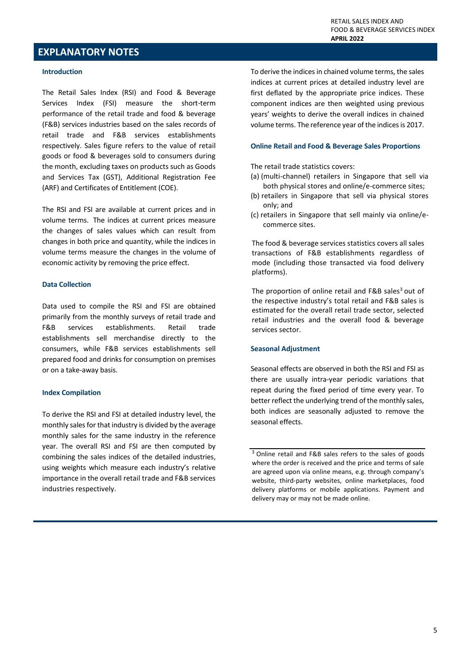### **EXPLANATORY NOTES**

#### **Introduction**

The Retail Sales Index (RSI) and Food & Beverage Services Index (FSI) measure the short-term performance of the retail trade and food & beverage (F&B) services industries based on the sales records of retail trade and F&B services establishments respectively. Sales figure refers to the value of retail goods or food & beverages sold to consumers during the month, excluding taxes on products such as Goods and Services Tax (GST), Additional Registration Fee (ARF) and Certificates of Entitlement (COE).

The RSI and FSI are available at current prices and in volume terms. The indices at current prices measure the changes of sales values which can result from changes in both price and quantity, while the indices in volume terms measure the changes in the volume of economic activity by removing the price effect.

#### **Data Collection**

Data used to compile the RSI and FSI are obtained primarily from the monthly surveys of retail trade and F&B services establishments. Retail trade establishments sell merchandise directly to the consumers, while F&B services establishments sell prepared food and drinks for consumption on premises or on a take-away basis.

#### **Index Compilation**

To derive the RSI and FSI at detailed industry level, the monthly sales for that industry is divided by the average monthly sales for the same industry in the reference year. The overall RSI and FSI are then computed by combining the sales indices of the detailed industries, using weights which measure each industry's relative importance in the overall retail trade and F&B services industries respectively.

To derive the indices in chained volume terms, the sales indices at current prices at detailed industry level are first deflated by the appropriate price indices. These component indices are then weighted using previous years' weights to derive the overall indices in chained volume terms. The reference year of the indices is 2017.

#### **Online Retail and Food & Beverage Sales Proportions**

The retail trade statistics covers:

- (a) (multi-channel) retailers in Singapore that sell via both physical stores and online/e-commerce sites;
- (b) retailers in Singapore that sell via physical stores only; and
- (c) retailers in Singapore that sell mainly via online/ecommerce sites.

The food & beverage services statistics covers all sales transactions of F&B establishments regardless of mode (including those transacted via food delivery platforms).

The proportion of online retail and  $F&B$  sales<sup>3</sup> out of the respective industry's total retail and F&B sales is estimated for the overall retail trade sector, selected retail industries and the overall food & beverage services sector.

#### **Seasonal Adjustment**

Seasonal effects are observed in both the RSI and FSI as there are usually intra-year periodic variations that repeat during the fixed period of time every year. To better reflect the underlying trend of the monthly sales, both indices are seasonally adjusted to remove the seasonal effects.

<sup>&</sup>lt;sup>3</sup> Online retail and F&B sales refers to the sales of goods where the order is received and the price and terms of sale are agreed upon via online means, e.g. through company's website, third-party websites, online marketplaces, food delivery platforms or mobile applications. Payment and delivery may or may not be made online.